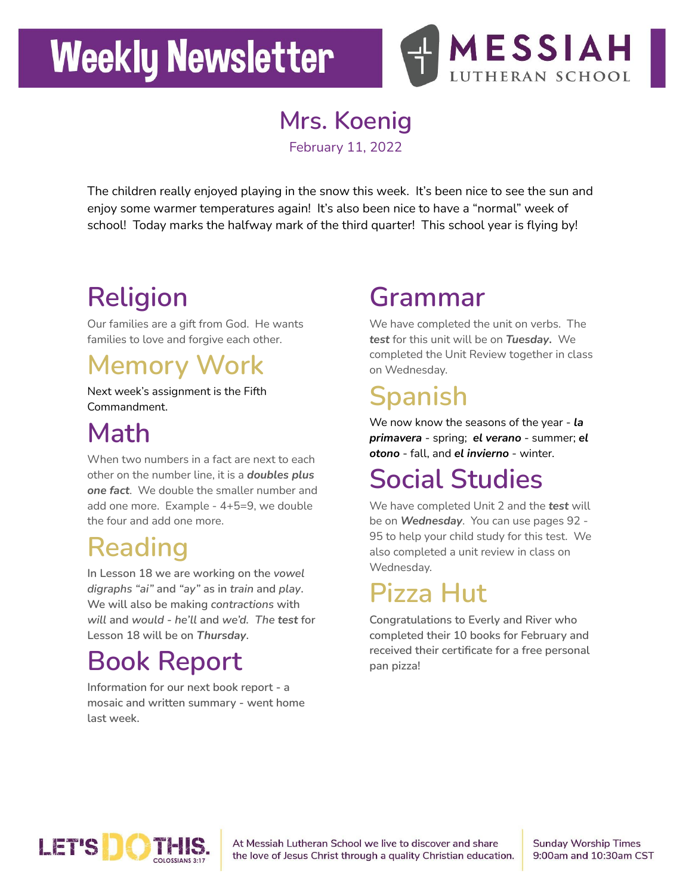# **Weekly Newsletter**



**Mrs. Koenig**

February 11, 2022

The children really enjoyed playing in the snow this week. It's been nice to see the sun and enjoy some warmer temperatures again! It's also been nice to have a "normal" week of school! Today marks the halfway mark of the third quarter! This school year is flying by!

# **Religion**

Our families are a gift from God. He wants families to love and forgive each other.

### **Memory Work**

Next week's assignment is the Fifth Commandment.

### **Math**

When two numbers in a fact are next to each other on the number line, it is a *doubles plus one fact*. We double the smaller number and add one more. Example - 4+5=9, we double the four and add one more.

### **Reading**

**In Lesson 18 we are working on the** *vowel digraphs "ai"* **and** *"ay"* **as in** *train* **and** *play***. We will also be making** *contractions* **with** *will* **and** *would - he'll* **and** *we'd. The test* **for Lesson 18 will be on** *Thursday***.**

### **Book Report**

**Information for our next book report - a mosaic and written summary - went home last week.**

#### **Grammar**

We have completed the unit on verbs. The *test* for this unit will be on *Tuesday***.** We completed the Unit Review together in class on Wednesday.

## **Spanish**

We now know the seasons of the year - *la primavera* - spring; *el verano* - summer; *el otono* - fall, and *el invierno* - winter.

# **Social Studies**

We have completed Unit 2 and the *test* will be on *Wednesday*. You can use pages 92 - 95 to help your child study for this test. We also completed a unit review in class on Wednesday.

### **Pizza Hut**

**Congratulations to Everly and River who completed their 10 books for February and received their certificate for a free personal pan pizza!**



At Messiah Lutheran School we live to discover and share the love of Jesus Christ through a quality Christian education. **Sunday Worship Times** 9:00am and 10:30am CST